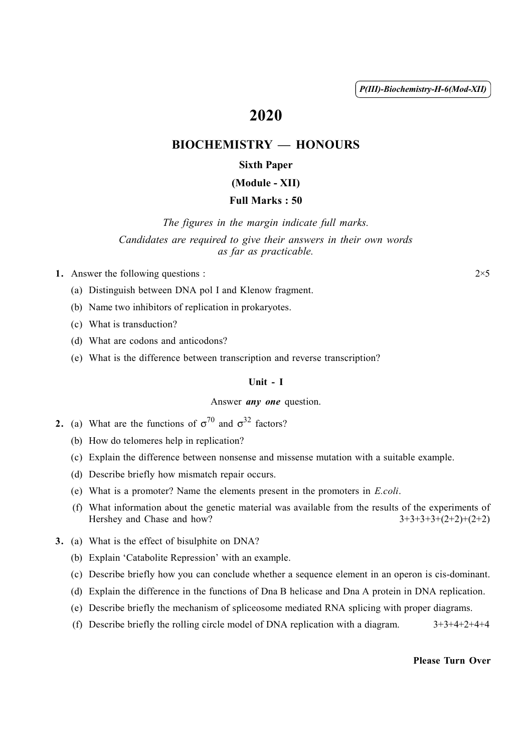( 1 ) *P(III)-Biochemistry-H-6(Mod-XII)*

# 2020

# BIOCHEMISTRY — HONOURS

## Sixth Paper

#### (Module - XII)

### Full Marks : 50

*The figures in the margin indicate full marks. Candidates are required to give their answers in their own words as far as practicable.*

1. Answer the following questions :  $2 \times 5$ 

- (a) Distinguish between DNA pol I and Klenow fragment.
- (b) Name two inhibitors of replication in prokaryotes.
- (c) What is transduction?
- (d) What are codons and anticodons?
- (e) What is the difference between transcription and reverse transcription?

#### Unit - I

#### Answer *any one* question.

- **2.** (a) What are the functions of  $\sigma^{70}$  and  $\sigma^{32}$  factors?
	- (b) How do telomeres help in replication?
	- (c) Explain the difference between nonsense and missense mutation with a suitable example.
	- (d) Describe briefly how mismatch repair occurs.
	- (e) What is a promoter? Name the elements present in the promoters in *E.coli*.
	- (f) What information about the genetic material was available from the results of the experiments of Hershey and Chase and how?  $3+3+3+3+3+2+2+(2+2)$
- 3. (a) What is the effect of bisulphite on DNA?
	- (b) Explain 'Catabolite Repression' with an example.
	- (c) Describe briefly how you can conclude whether a sequence element in an operon is cis-dominant.
	- (d) Explain the difference in the functions of Dna B helicase and Dna A protein in DNA replication.
	- (e) Describe briefly the mechanism of spliceosome mediated RNA splicing with proper diagrams.
	- (f) Describe briefly the rolling circle model of DNA replication with a diagram.  $3+3+4+2+4+4$

Please Turn Over